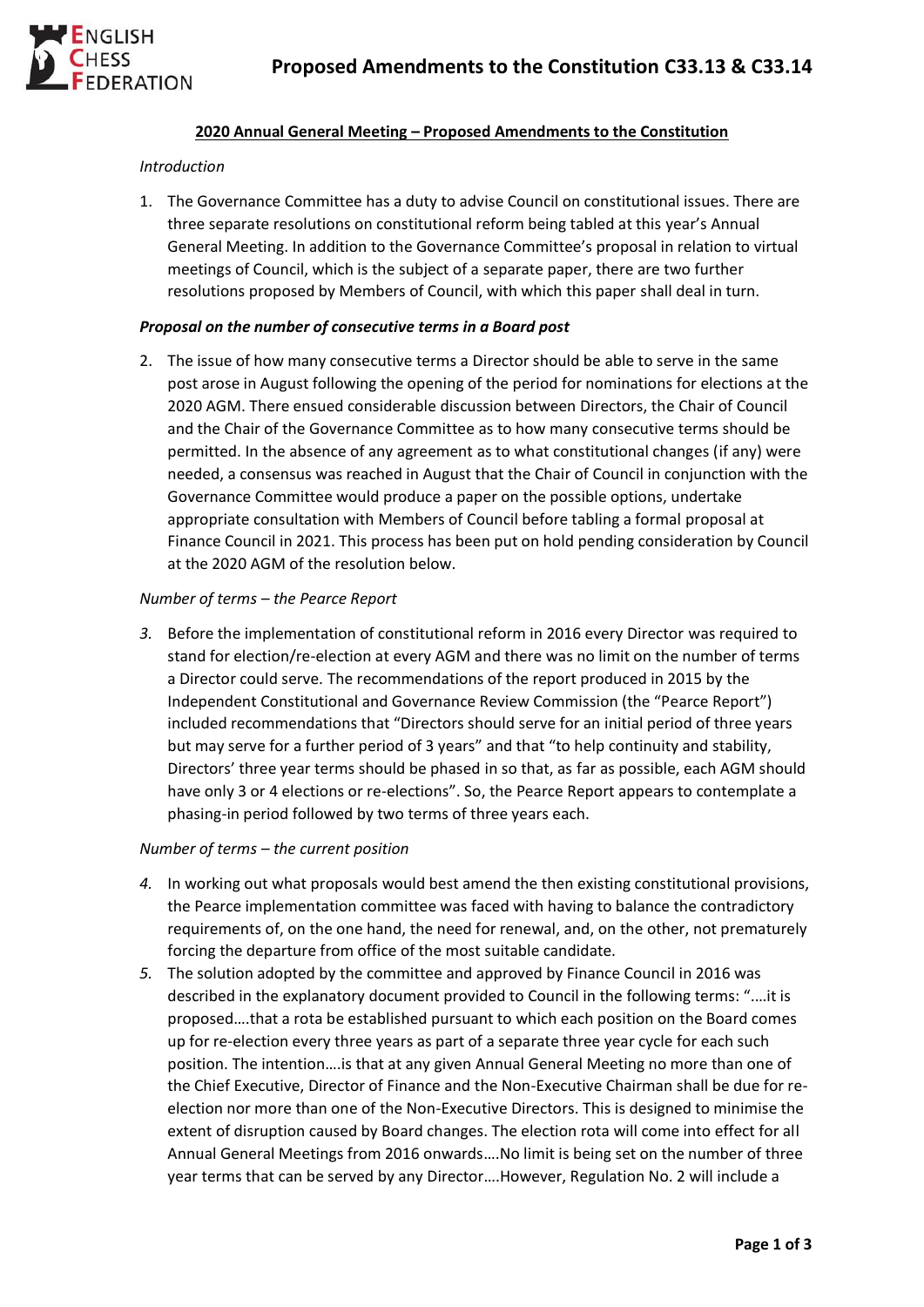

## **2020 Annual General Meeting – Proposed Amendments to the Constitution**

#### *Introduction*

1. The Governance Committee has a duty to advise Council on constitutional issues. There are three separate resolutions on constitutional reform being tabled at this year's Annual General Meeting. In addition to the Governance Committee's proposal in relation to virtual meetings of Council, which is the subject of a separate paper, there are two further resolutions proposed by Members of Council, with which this paper shall deal in turn.

### *Proposal on the number of consecutive terms in a Board post*

2. The issue of how many consecutive terms a Director should be able to serve in the same post arose in August following the opening of the period for nominations for elections at the 2020 AGM. There ensued considerable discussion between Directors, the Chair of Council and the Chair of the Governance Committee as to how many consecutive terms should be permitted. In the absence of any agreement as to what constitutional changes (if any) were needed, a consensus was reached in August that the Chair of Council in conjunction with the Governance Committee would produce a paper on the possible options, undertake appropriate consultation with Members of Council before tabling a formal proposal at Finance Council in 2021. This process has been put on hold pending consideration by Council at the 2020 AGM of the resolution below.

#### *Number of terms – the Pearce Report*

*3.* Before the implementation of constitutional reform in 2016 every Director was required to stand for election/re-election at every AGM and there was no limit on the number of terms a Director could serve. The recommendations of the report produced in 2015 by the Independent Constitutional and Governance Review Commission (the "Pearce Report") included recommendations that "Directors should serve for an initial period of three years but may serve for a further period of 3 years" and that "to help continuity and stability, Directors' three year terms should be phased in so that, as far as possible, each AGM should have only 3 or 4 elections or re-elections". So, the Pearce Report appears to contemplate a phasing-in period followed by two terms of three years each.

## *Number of terms – the current position*

- *4.* In working out what proposals would best amend the then existing constitutional provisions, the Pearce implementation committee was faced with having to balance the contradictory requirements of, on the one hand, the need for renewal, and, on the other, not prematurely forcing the departure from office of the most suitable candidate.
- *5.* The solution adopted by the committee and approved by Finance Council in 2016 was described in the explanatory document provided to Council in the following terms: ".…it is proposed….that a rota be established pursuant to which each position on the Board comes up for re-election every three years as part of a separate three year cycle for each such position. The intention….is that at any given Annual General Meeting no more than one of the Chief Executive, Director of Finance and the Non-Executive Chairman shall be due for reelection nor more than one of the Non-Executive Directors. This is designed to minimise the extent of disruption caused by Board changes. The election rota will come into effect for all Annual General Meetings from 2016 onwards….No limit is being set on the number of three year terms that can be served by any Director….However, Regulation No. 2 will include a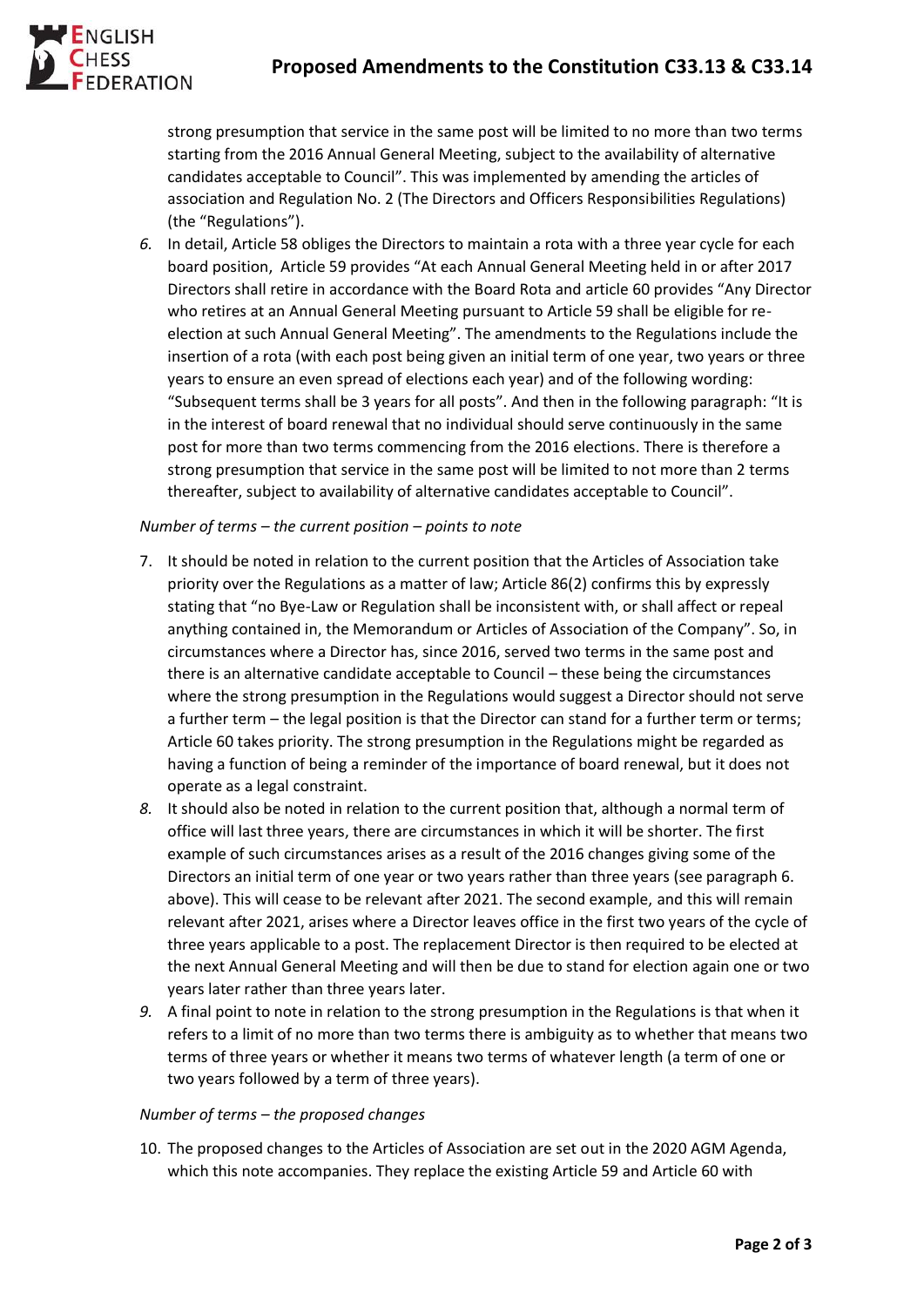# **Proposed Amendments to the Constitution C33.13 & C33.14**



strong presumption that service in the same post will be limited to no more than two terms starting from the 2016 Annual General Meeting, subject to the availability of alternative candidates acceptable to Council". This was implemented by amending the articles of association and Regulation No. 2 (The Directors and Officers Responsibilities Regulations) (the "Regulations").

*6.* In detail, Article 58 obliges the Directors to maintain a rota with a three year cycle for each board position, Article 59 provides "At each Annual General Meeting held in or after 2017 Directors shall retire in accordance with the Board Rota and article 60 provides "Any Director who retires at an Annual General Meeting pursuant to Article 59 shall be eligible for reelection at such Annual General Meeting". The amendments to the Regulations include the insertion of a rota (with each post being given an initial term of one year, two years or three years to ensure an even spread of elections each year) and of the following wording: "Subsequent terms shall be 3 years for all posts". And then in the following paragraph: "It is in the interest of board renewal that no individual should serve continuously in the same post for more than two terms commencing from the 2016 elections. There is therefore a strong presumption that service in the same post will be limited to not more than 2 terms thereafter, subject to availability of alternative candidates acceptable to Council".

# *Number of terms – the current position – points to note*

- 7. It should be noted in relation to the current position that the Articles of Association take priority over the Regulations as a matter of law; Article 86(2) confirms this by expressly stating that "no Bye-Law or Regulation shall be inconsistent with, or shall affect or repeal anything contained in, the Memorandum or Articles of Association of the Company". So, in circumstances where a Director has, since 2016, served two terms in the same post and there is an alternative candidate acceptable to Council – these being the circumstances where the strong presumption in the Regulations would suggest a Director should not serve a further term – the legal position is that the Director can stand for a further term or terms; Article 60 takes priority. The strong presumption in the Regulations might be regarded as having a function of being a reminder of the importance of board renewal, but it does not operate as a legal constraint.
- *8.* It should also be noted in relation to the current position that, although a normal term of office will last three years, there are circumstances in which it will be shorter. The first example of such circumstances arises as a result of the 2016 changes giving some of the Directors an initial term of one year or two years rather than three years (see paragraph 6. above). This will cease to be relevant after 2021. The second example, and this will remain relevant after 2021, arises where a Director leaves office in the first two years of the cycle of three years applicable to a post. The replacement Director is then required to be elected at the next Annual General Meeting and will then be due to stand for election again one or two years later rather than three years later.
- *9.* A final point to note in relation to the strong presumption in the Regulations is that when it refers to a limit of no more than two terms there is ambiguity as to whether that means two terms of three years or whether it means two terms of whatever length (a term of one or two years followed by a term of three years).

## *Number of terms – the proposed changes*

10. The proposed changes to the Articles of Association are set out in the 2020 AGM Agenda, which this note accompanies. They replace the existing Article 59 and Article 60 with